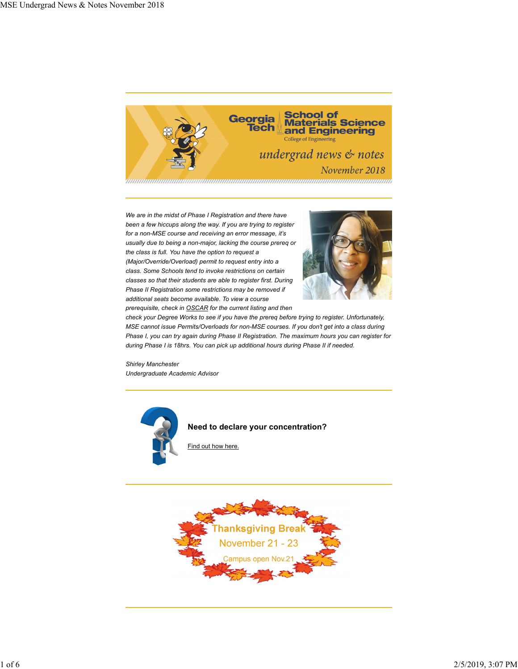

*We are in the midst of Phase I Registration and there have been a few hiccups along the way. If you are trying to register for a non-MSE course and receiving an error message, it's usually due to being a non-major, lacking the course prereq or the class is full. You have the option to request a (Major/Override/Overload) permit to request entry into a class. Some Schools tend to invoke restrictions on certain classes so that their students are able to register first. During Phase II Registration some restrictions may be removed if additional seats become available. To view a course prerequisite, check in OSCAR for the current listing and then*



*check your Degree Works to see if you have the prereq before trying to register. Unfortunately, MSE cannot issue Permits/Overloads for non-MSE courses. If you don't get into a class during Phase I, you can try again during Phase II Registration. The maximum hours you can register for during Phase I is 18hrs. You can pick up additional hours during Phase II if needed.*

*Shirley Manchester Undergraduate Academic Advisor*



**Need to declare your concentration?**

Find out how here.

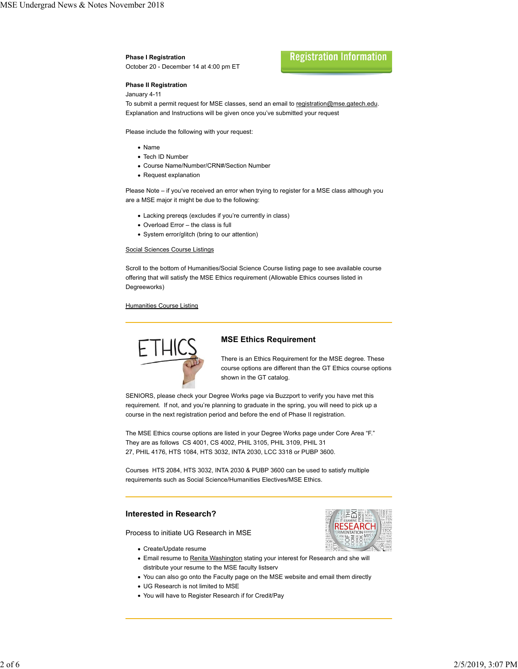#### **Phase I Registration**

October 20 - December 14 at 4:00 pm ET

# **Registration Information**

### **Phase II Registration**

#### January 4-11

To submit a permit request for MSE classes, send an email to registration@mse.gatech.edu. Explanation and Instructions will be given once you've submitted your request

Please include the following with your request:

- Name
- Tech ID Number
- Course Name/Number/CRN#/Section Number
- Request explanation

Please Note – if you've received an error when trying to register for a MSE class although you are a MSE major it might be due to the following:

- Lacking prereqs (excludes if you're currently in class)
- Overload Error the class is full
- System error/glitch (bring to our attention)

#### Social Sciences Course Listings

Scroll to the bottom of Humanities/Social Science Course listing page to see available course offering that will satisfy the MSE Ethics requirement (Allowable Ethics courses listed in Degreeworks)

#### **Humanities Course Listing**



## **MSE Ethics Requirement**

There is an Ethics Requirement for the MSE degree. These course options are different than the GT Ethics course options shown in the GT catalog.

SENIORS, please check your Degree Works page via Buzzport to verify you have met this requirement. If not, and you're planning to graduate in the spring, you will need to pick up a course in the next registration period and before the end of Phase II registration.

The MSE Ethics course options are listed in your Degree Works page under Core Area "F." They are as follows CS 4001, CS 4002, PHIL 3105, PHIL 3109, PHIL 31 27, PHIL 4176, HTS 1084, HTS 3032, INTA 2030, LCC 3318 or PUBP 3600.

Courses HTS 2084, HTS 3032, INTA 2030 & PUBP 3600 can be used to satisfy multiple requirements such as Social Science/Humanities Electives/MSE Ethics.

#### **Interested in Research?**

Process to initiate UG Research in MSE

- Create/Update resume
- Email resume to Renita Washington stating your interest for Research and she will distribute your resume to the MSE faculty listserv
- You can also go onto the Faculty page on the MSE website and email them directly
- UG Research is not limited to MSE
- You will have to Register Research if for Credit/Pay

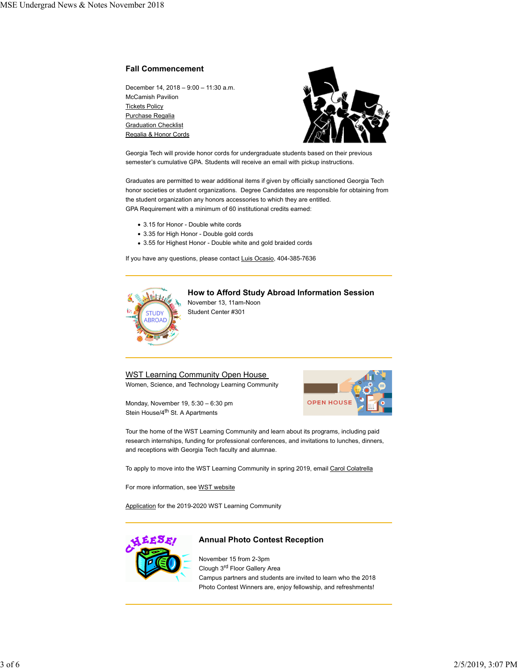### **Fall Commencement**

December 14, 2018 – 9:00 – 11:30 a.m. McCamish Pavilion Tickets Policy Purchase Regalia **Graduation Checklist** Regalia & Honor Cords



Georgia Tech will provide honor cords for undergraduate students based on their previous semester's cumulative GPA. Students will receive an email with pickup instructions.

Graduates are permitted to wear additional items if given by officially sanctioned Georgia Tech honor societies or student organizations. Degree Candidates are responsible for obtaining from the student organization any honors accessories to which they are entitled. GPA Requirement with a minimum of 60 institutional credits earned:

- 3.15 for Honor Double white cords
- 3.35 for High Honor Double gold cords
- 3.55 for Highest Honor Double white and gold braided cords

If you have any questions, please contact Luis Ocasio, 404-385-7636



# **How to Afford Study Abroad Information Session** November 13, 11am-Noon

Student Center #301

WST Learning Community Open House

Women, Science, and Technology Learning Community

Monday, November 19, 5:30 – 6:30 pm Stein House/4<sup>th</sup> St. A Apartments



Tour the home of the WST Learning Community and learn about its programs, including paid research internships, funding for professional conferences, and invitations to lunches, dinners, and receptions with Georgia Tech faculty and alumnae.

To apply to move into the WST Learning Community in spring 2019, email Carol Colatrella

For more information, see WST website

Application for the 2019-2020 WST Learning Community



# **Annual Photo Contest Reception**

November 15 from 2-3pm Clough 3rd Floor Gallery Area Campus partners and students are invited to learn who the 2018 Photo Contest Winners are, enjoy fellowship, and refreshments!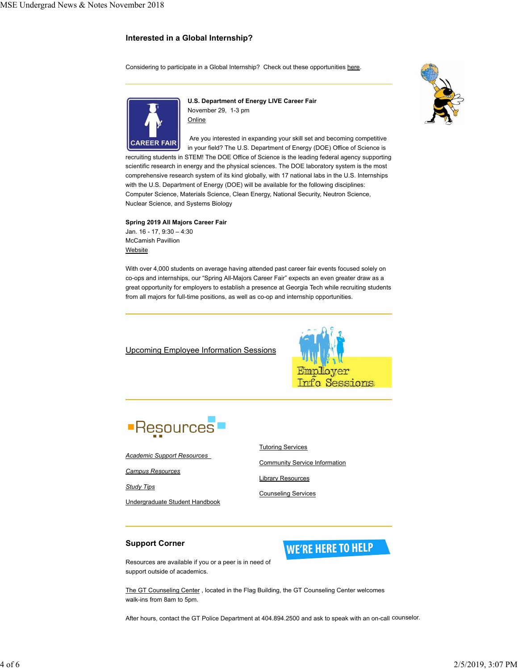# **Interested in a Global Internship?**

Considering to participate in a Global Internship? Check out these opportunities here.





**U.S. Department of Energy LIVE Career Fair** November 29, 1-3 pm **Online** 

 Are you interested in expanding your skill set and becoming competitive in your field? The U.S. Department of Energy (DOE) Office of Science is

recruiting students in STEM! The DOE Office of Science is the leading federal agency supporting scientific research in energy and the physical sciences. The DOE laboratory system is the most comprehensive research system of its kind globally, with 17 national labs in the U.S. Internships with the U.S. Department of Energy (DOE) will be available for the following disciplines: Computer Science, Materials Science, Clean Energy, National Security, Neutron Science, Nuclear Science, and Systems Biology

#### **Spring 2019 All Majors Career Fair**

Jan. 16 - 17, 9:30 – 4:30 McCamish Pavillion Website

With over 4,000 students on average having attended past career fair events focused solely on co-ops and internships, our "Spring All-Majors Career Fair" expects an even greater draw as a great opportunity for employers to establish a presence at Georgia Tech while recruiting students from all majors for full-time positions, as well as co-op and internship opportunities.

Upcoming Employee Information Sessions





*Academic Support Resources*

*Campus Resources*

*Study Tips*

Undergraduate Student Handbook



Community Service Information

**WE'RE HERE TO HELP** 

Library Resources

Counseling Services

# **Support Corner**

Resources are available if you or a peer is in need of support outside of academics.

The GT Counseling Center , located in the Flag Building, the GT Counseling Center welcomes walk-ins from 8am to 5pm.

After hours, contact the GT Police Department at 404.894.2500 and ask to speak with an on-call counselor.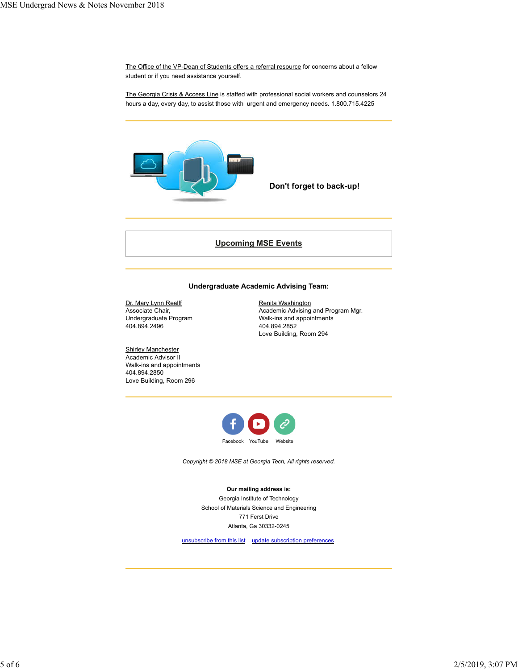The Office of the VP-Dean of Students offers a referral resource for concerns about a fellow student or if you need assistance yourself.

The Georgia Crisis & Access Line is staffed with professional social workers and counselors 24 hours a day, every day, to assist those with urgent and emergency needs. 1.800.715.4225



**Don't forget to back-up!** 

# **Upcoming MSE Events**

# **Undergraduate Academic Advising Team:**

Dr. Mary Lynn Realff Associate Chair, Undergraduate Program 404.894.2496

Academic Advising and Program Mgr. Walk-ins and appointments 404.894.2852 Love Building, Room 294

Renita Washington

**Shirley Manchester** Academic Advisor II Walk-ins and appointments 404.894.2850 Love Building, Room 296



*Copyright © 2018 MSE at Georgia Tech, All rights reserved.*

**Our mailing address is:** Georgia Institute of Technology School of Materials Science and Engineering 771 Ferst Drive Atlanta, Ga 30332-0245

unsubscribe from this list update subscription preferences